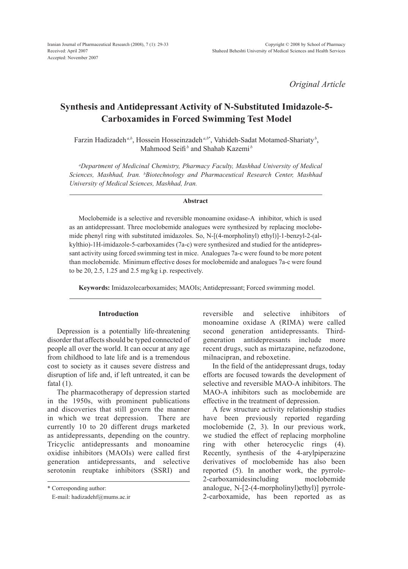*Original Article*

# **Synthesis and Antidepressant Activity of N-Substituted Imidazole-5- Carboxamides in Forced Swimming Test Model**

Farzin Hadizadeh<sup>*a,b*</sup>, Hossein Hosseinzadeh<sup>*a,b*\*</sup>, Vahideh-Sadat Motamed-Shariaty<sup>*b*</sup>, Mahmood Seifi<sup>b</sup> and Shahab Kazemi<sup>b</sup>

*a Department of Medicinal Chemistry, Pharmacy Faculty, Mashhad University of Medical Sciences, Mashhad, Iran. b Biotechnology and Pharmaceutical Research Center, Mashhad University of Medical Sciences, Mashhad, Iran.*

#### **Abstract**

Moclobemide is a selective and reversible monoamine oxidase-Ainhibitor, which is used as an antidepressant. Three moclobemide analogues were synthesized by replacing moclobemide phenyl ring with substituted imidazoles. So, N-[(4-morpholinyl) ethyl)]-1-benzyl-2-(alkylthio)-1H-imidazole-5-carboxamides (7a-c) were synthesized and studied for the antidepress sant activity using forced swimming test in mice. Analogues 7a-c were found to be more potent than moclobemide. Minimum effective doses for moclobemide and analogues 7a-c were found to be 20, 2.5, 1.25 and 2.5 mg/kg i.p. respectively.

**Keywords:** Imidazolecarboxamides; MAOIs; Antidepressant; Forced swimming model.

## **Introduction**

Depression is a potentially life-threatening disorder that affects should be typed connected of people all over the world. It can occur at any age from childhood to late life and is a tremendous cost to society as it causes severe distress and disruption of life and, if left untreated, it can be fatal  $(1)$ .

The pharmacotherapy of depression started in the 1950s, with prominent publications and discoveries that still govern the manner in which we treat depression. There are currently 10 to 20 different drugs marketed as antidepressants, depending on the country. Tricyclic antidepressants and monoamine oxidise inhibitors (MAOIs) were called first generation antidepressants, and selective serotonin reuptake inhibitors (SSRI) and

\* Corresponding author:

E-mail: hadizadehf@mums.ac.ir

reversible and selective inhibitors of monoamine oxidase A (RIMA) were called second generation antidepressants. Thirdgeneration antidepressants include more recent drugs, such as mirtazapine, nefazodone, milnacipran, and reboxetine.

In the field of the antidepressant drugs, today efforts are focused towards the development of selective and reversible MAO-A inhibitors. The MAO-A inhibitors such as moclobemide are effective in the treatment of depression.

A few structure activity relationship studies have been previously reported regarding moclobemide (2, 3). In our previous work, we studied the effect of replacing morpholine ring with other heterocyclic rings (4). Recently, synthesis of the 4-arylpiperazine derivatives of moclobemide has also been reported (5). In another work, the pyrrole-2-carboxamidesincluding moclobemide analogue, N-[2-(4-morpholinyl)ethyl)] pyrrole-2-carboxamide, has been reported as as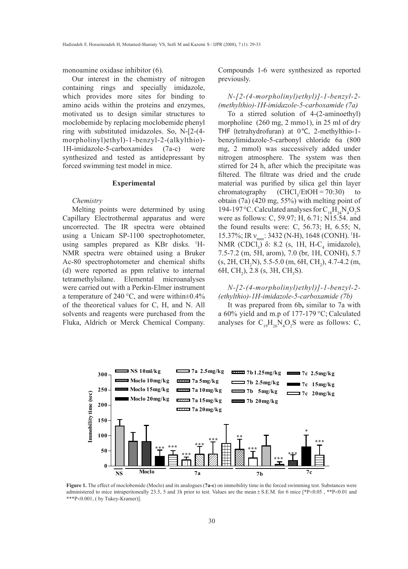monoamine oxidase inhibitor (6).

Our interest in the chemistry of nitrogen containing rings and specially imidazole, which provides more sites for binding to amino acids within the proteins and enzymes, motivated us to design similar structures to moclobemide by replacing moclobemide phenyl ring with substituted imidazoles. So, N-[2-(4 morpholinyl)ethyl)-1-benzyl-2-(alkylthio)- 1H-imidazole-5-carboxamides (7a-c) were synthesized and tested as antidepressant by forced swimming test model in mice.

#### **Experimental**

#### *Chemistry*

Melting points were determined by using Capillary Electrothermal apparatus and were uncorrected. The IR spectra were obtained using a Unicam SP-1100 spectrophotometer, using samples prepared as KBr disks. 1 H-NMR spectra were obtained using a Bruker Ac-80 spectrophotometer and chemical shifts (d) were reported as ppm relative to internal tetramethylsilane. Elemental microanalyses were carried out with a Perkin-Elmer instrument a temperature of 240 °C, and were within±0.4% of the theoretical values for C, H, and N. All solvents and reagents were purchased from the Fluka, Aldrich or Merck Chemical Company.

Compounds 1-6 were synthesized as reported previously.

*N-[2-(4-morpholinyl)ethyl)]-1-benzyl-2- (methylthio)-1H-imidazole-5-carboxamide (7a)*

To a stirred solution of 4-(2-aminoethyl) morpholine (260 mg, 2 mmol), in 25 ml of dry THF (tetrahydrofuran) at 0°C, 2-methylthio-1 benzylimidazole-5-carbonyl chloride 6a (800 mg, 2 mmol) was successively added under nitrogen atmosphere. The system was then stirred for 24 h, after which the precipitate was filtered. The filtrate was dried and the crude material was purified by silica gel thin layer chromatography  $(CHCl<sub>2</sub>/EtOH = 70:30)$  to obtain (7a) (420 mg, 55%) with melting point of 194-197 °C. Calculated analyses for  $C_{18}H_{24}N_4O_2S$ were as follows: C, 59.97; H, 6.71; N15.54. and the found results were: C,  $56.73$ ; H,  $6.55$ ; N, 15.37%; IR  $v_{\text{max}}$ : 3432 (N-H), 1648 (CONH). <sup>1</sup>H-NMR (CDCl<sub>3</sub>)  $\delta$ : 8.2 (s, 1H, H-C<sub>4</sub> imidazole), 7.5-7.2 (m, 5H, arom), 7.0 (br, 1H, CONH), 5.7  $(S, 2H, CH<sub>2</sub>N), 5.5-5.0 (m, 6H, CH<sub>2</sub>), 4.7-4.2 (m,$ 6H, CH<sub>2</sub>), 2.8 (s, 3H, CH<sub>3</sub>S).

# *N-[2-(4-morpholinyl)ethyl)]-1-benzyl-2- (ethylthio)-1H-imidazole-5-carboxamide (7b)*

It was prepared from 6b**,** similar to 7a with a 60% yield and m.p of 177-179 °C; Calculated analyses for  $C_{19}H_{26}N_4O_2S$  were as follows: C,



Figure 1. The effect of moclobemide (Moclo) and its analogues (7a-c) on immobility time in the forced swimming test. Substances were administered to mice intraperitoneally 23.5, 5 and 1h prior to test. Values are the mean  $\pm$  S.E.M. for 6 mice [\*P<0.05 , \*\*P<0.01 and \*\*\*P<0.001, ( by Tukey-Kramer)].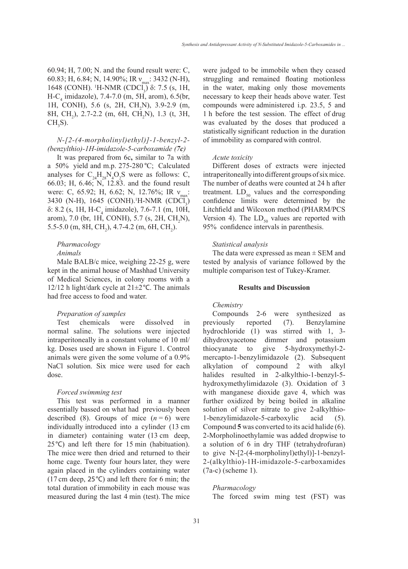60.94; H, 7.00; N. and the found result were: C, 60.83; H, 6.84; N, 14.90%; IR  $v_{max}$ : 3432 (N-H),  $1648$  (CONH). <sup>1</sup>H-NMR (CDCl<sub>3</sub>) δ: 7.5 (s, 1H,  $H-C_4$  imidazole), 7.4-7.0 (m, 5H, arom), 6.5(br, 1H, CONH), 5.6 (s, 2H, CH<sub>2</sub>N), 3.9-2.9 (m, 8H, CH<sub>2</sub>), 2.7-2.2 (m, 6H, CH<sub>2</sub>N), 1.3 (t, 3H,  $CH<sub>3</sub>$ S).

### *N-[2-(4-morpholinyl)ethyl)]-1-benzyl-2- (benzylthio)-1H-imidazole-5-carboxamide (7c)*

It was prepared from 6c**,** similar to 7a with a 50% yield and m.p. 275-280 °C; Calculated analyses for  $C_{24}H_{28}N_4O_2S$  were as follows: C, 66.03; H, 6.46; N, 12.83. and the found result were: C, 65.92; H, 6.62; N, 12.76%; IR  $v_{\text{max}}$ : 3430 (N-H), 1645 (CONH).<sup>1</sup>H-NMR (CDCl<sub>3</sub>)  $\delta$ : 8.2 (s, 1H, H-C<sub>4</sub> imidazole), 7.6-7.1 (m, 10H, arom), 7.0 (br, 1H, CONH), 5.7 (s, 2H,  $CH_2N$ ), 5.5-5.0 (m, 8H, CH<sub>2</sub>), 4.7-4.2 (m, 6H, CH<sub>2</sub>).

# *Pharmacology*

# *Animals*

Male BALB/c mice, weighing 22-25 g, were kept in the animal house of Mashhad University of Medical Sciences, in colony rooms with a 12/12 h light/dark cycle at  $21 \pm 2$  °C. The animals had free access to food and water.

#### *Preparation of samples*

Test chemicals were dissolved in normal saline. The solutions were injected intraperitoneally in a constant volume of 10 ml/ kg. Doses used are shown in Figure 1. Control animals were given the some volume of a 0.9% NaCl solution. Six mice were used for each dose.

#### *Forced swimming test*

This test was performed in a manner essentially bassed on what had previously been described (8). Groups of mice  $(n=6)$  were individually introduced into a cylinder (13 cm in diameter) containing water (13 cm deep, 25°C) and left there for 15 min (habituation). The mice were then dried and returned to their home cage. Twenty four hours later, they were again placed in the cylinders containing water (17 cm deep, 25°C) and left there for 6 min; the total duration of immobility in each mouse was measured during the last 4 min (test). The mice were judged to be immobile when they ceased struggling and remained floating motionless in the water, making only those movements necessary to keep their heads above water. Test compounds were administered i.p. 23.5, 5 and 1 h before the test session. The effect of drug was evaluated by the doses that produced a statistically significant reduction in the duration of immobility as comparedwith control.

#### *Acute toxicity*

Different doses of extracts were injected intraperitoneally into different groups of six mice. The number of deaths were counted at 24 h after treatment.  $LD_{50}$  values and the corresponding confidence limits were determined by the Litchfield and Wilcoxon method (PHARM/PCS Version 4). The  $LD_{50}$  values are reported with 95% confidence intervals in parenthesis.

#### *Statistical analysis*

The data were expressed as mean  $\pm$  SEM and tested by analysis of variance followed by the multiple comparison test of Tukey-Kramer.

### **Results and Discussion**

#### *Chemistry*

Compounds 2-6 were synthesized as previously reported (7). Benzylamine hydrochloride (1) was stirred with 1, 3 dihydroxyacetone dimmer and potassium thiocyanate to give 5-hydroxymethyl-2 mercapto-1-benzylimidazole (2). Subsequent alkylation of compound 2 with alkyl halides resulted in 2-alkylthio-1-benzyl-5 hydroxymethylimidazole (3). Oxidation of 3 with manganese dioxide gave 4, which was further oxidized by being boiled in alkaline solution of silver nitrate to give 2-alkylthio-1-benzylimidazole-5-carboxylic acid (5). Compound **5** was converted to its acid halide (6). 2-Morpholinoethylamie was added dropwise to a solution of 6 in dry THF (tetrahydrofuran) to give N-[2-(4-morpholinyl)ethyl)]-1-benzyl-2-(alkylthio)-1H-imidazole-5-carboxamides (7a-c) (scheme 1).

*Pharmacology*

The forced swim ming test (FST) was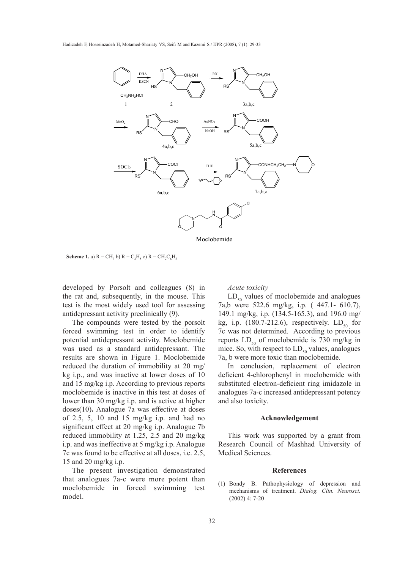

Moclobemide

**Scheme 1.** a)  $R = CH_3 b$   $R = C_2H_5 c$   $R = CH_2C_6H_5$ 

developed by Porsolt and colleagues (8) in the rat and, subsequently, in the mouse. This test is the most widely used tool for assessing antidepressant activity preclinically (9).

The compounds were tested by the porsolt forced swimming test in order to identify potential antidepressant activity. Moclobemide was used as a standard antidepressant. The results are shown in Figure 1. Moclobemide reduced the duration of immobility at 20 mg/ kg i.p., and was inactive at lower doses of 10 and 15 mg/kg i.p. According to previous reports moclobemide is inactive in this test at doses of lower than 30 mg/kg i.p. and is active at higher doses(10)**.** Analogue 7a was effective at doses of 2.5, 5, 10 and 15 mg/kg i.p. and had no significant effect at 20 mg/kg i.p. Analogue 7b reduced immobility at 1.25, 2.5 and 20 mg/kg i.p. and was ineffective at 5 mg/kg i.p. Analogue 7c was found to be effective at all doses, i.e. 2.5, 15 and 20 mg/kg i.p.

The present investigation demonstrated that analogues 7a-c were more potent than moclobemide in forced swimming test model.

#### *Acute toxicity*

kg, i.p.  $(180.7\n-212.6)$ , respectively.  $LD_{50}$  for  $LD_{50}$  values of moclobemide and analogues reports  $LD_{50}$  of moclobemide is 730 mg/kg in 7a,b were 522.6 mg/kg, i.p. ( 447.1- 610.7), 149.1 mg/kg, i.p. (134.5-165.3), and 196.0 mg/ 7c was not determined. According to previous mice. So, with respect to  $LD_{50}$  values, analogues 7a, b were more toxic than moclobemide.

> In conclusion, replacement of electron deficient 4-chlorophenyl in moclobemide with substituted electron-deficient ring imidazole in analogues 7a-c increased antidepressant potency and also toxicity.

#### **Acknowledgement**

This work was supported by a grant from Research Council of Mashhad University of Medical Sciences.

#### **References**

(1) Bondy B. Pathophysiology of depression and mechanisms of treatment. *Dialog. Clin. Neurosci.* (2002) 4: 7-20